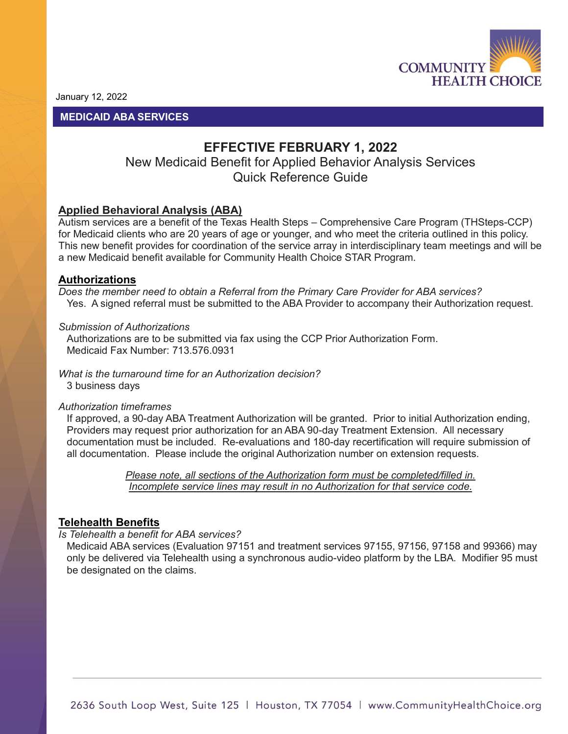

January 12, 2022

## **MEDICAID ABA SERVICES**

# **EFFECTIVE FEBRUARY 1, 2022**

## New Medicaid Benefit for Applied Behavior Analysis Services Quick Reference Guide

## **Applied Behavioral Analysis (ABA)**

Autism services are a benefit of the Texas Health Steps – Comprehensive Care Program (THSteps-CCP) for Medicaid clients who are 20 years of age or younger, and who meet the criteria outlined in this policy. This new benefit provides for coordination of the service array in interdisciplinary team meetings and will be a new Medicaid benefit available for Community Health Choice STAR Program.

## **Authorizations**

*Does the member need to obtain a Referral from the Primary Care Provider for ABA services?* Yes. A signed referral must be submitted to the ABA Provider to accompany their Authorization request.

### *Submission of Authorizations*

Authorizations are to be submitted via fax using the CCP Prior Authorization Form. Medicaid Fax Number: 713.576.0931

*What is the turnaround time for an Authorization decision?*  3 business days

### *Authorization timeframes*

If approved, a 90-day ABA Treatment Authorization will be granted. Prior to initial Authorization ending, Providers may request prior authorization for an ABA 90-day Treatment Extension. All necessary documentation must be included. Re-evaluations and 180-day recertification will require submission of all documentation. Please include the original Authorization number on extension requests.

> *Please note, all sections of the Authorization form must be completed/filled in. Incomplete service lines may result in no Authorization for that service code.*

## **Telehealth Benefits**

#### *Is Telehealth a benefit for ABA services?*

Medicaid ABA services (Evaluation 97151 and treatment services 97155, 97156, 97158 and 99366) may only be delivered via Telehealth using a synchronous audio-video platform by the LBA. Modifier 95 must be designated on the claims.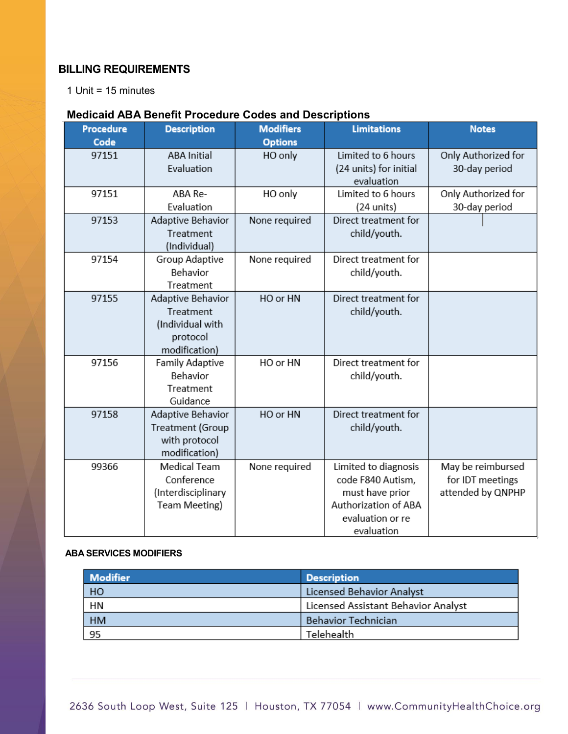## **BILLING REQUIREMENTS**

1 Unit = 15 minutes

## **Medicaid ABA Benefit Procedure Codes and Descriptions**

| <b>Procedure</b><br>Code | <b>Description</b>                                                              | <b>Modifiers</b><br><b>Options</b> | <b>Limitations</b>                                                                                                     | <b>Notes</b>                                               |
|--------------------------|---------------------------------------------------------------------------------|------------------------------------|------------------------------------------------------------------------------------------------------------------------|------------------------------------------------------------|
| 97151                    | <b>ABA Initial</b><br>Evaluation                                                | HO only                            | Limited to 6 hours<br>(24 units) for initial<br>evaluation                                                             | Only Authorized for<br>30-day period                       |
| 97151                    | ABA Re-<br>Evaluation                                                           | HO only                            | Limited to 6 hours<br>(24 units)                                                                                       | Only Authorized for<br>30-day period                       |
| 97153                    | Adaptive Behavior<br>Treatment<br>(Individual)                                  | None required                      | Direct treatment for<br>child/youth.                                                                                   |                                                            |
| 97154                    | Group Adaptive<br>Behavior<br>Treatment                                         | None required                      | Direct treatment for<br>child/youth.                                                                                   |                                                            |
| 97155                    | Adaptive Behavior<br>Treatment<br>(Individual with<br>protocol<br>modification) | HO or HN                           | Direct treatment for<br>child/youth.                                                                                   |                                                            |
| 97156                    | <b>Family Adaptive</b><br>Behavior<br>Treatment<br>Guidance                     | HO or HN                           | Direct treatment for<br>child/youth.                                                                                   |                                                            |
| 97158                    | Adaptive Behavior<br>Treatment (Group<br>with protocol<br>modification)         | HO or HN                           | Direct treatment for<br>child/youth.                                                                                   |                                                            |
| 99366                    | <b>Medical Team</b><br>Conference<br>(Interdisciplinary<br>Team Meeting)        | None required                      | Limited to diagnosis<br>code F840 Autism,<br>must have prior<br>Authorization of ABA<br>evaluation or re<br>evaluation | May be reimbursed<br>for IDT meetings<br>attended by QNPHP |

### **ABA SERVICES MODIFIERS**

| <b>Modifier</b> | <b>Description</b>                  |
|-----------------|-------------------------------------|
| HO              | Licensed Behavior Analyst           |
| <b>HN</b>       | Licensed Assistant Behavior Analyst |
| <b>HM</b>       | <b>Behavior Technician</b>          |
| 95              | Telehealth                          |